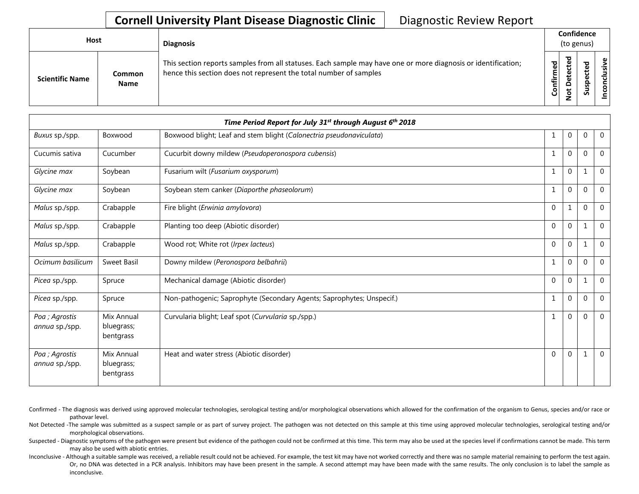## **Cornell University Plant Disease Diagnostic Clinic** | Diagnostic Review Report

| Host                   |                              | <b>Diagnosis</b>                                                                                                                                                                   |           | Confidence<br>(to genus) |   |                     |  |  |
|------------------------|------------------------------|------------------------------------------------------------------------------------------------------------------------------------------------------------------------------------|-----------|--------------------------|---|---------------------|--|--|
| <b>Scientific Name</b> | <b>Common</b><br><b>Name</b> | This section reports samples from all statuses. Each sample may have one or more diagnosis or identification;<br>hence this section does not represent the total number of samples | Confirmed | ъ<br>Δ<br>پ<br>ۊ         | ທ | Φ<br>usiv<br>ಾ<br>ō |  |  |

|                                  | Time Period Report for July 31 <sup>st</sup> through August 6 <sup>th</sup> 2018 |                                                                       |          |             |              |                |  |
|----------------------------------|----------------------------------------------------------------------------------|-----------------------------------------------------------------------|----------|-------------|--------------|----------------|--|
| Buxus sp./spp.                   | Boxwood                                                                          | Boxwood blight; Leaf and stem blight (Calonectria pseudonaviculata)   | 1        | 0           | $\Omega$     | $\mathbf 0$    |  |
| Cucumis sativa                   | Cucumber                                                                         | Cucurbit downy mildew (Pseudoperonospora cubensis)                    | 1        | 0           | $\Omega$     | $\Omega$       |  |
| Glycine max                      | Soybean                                                                          | Fusarium wilt (Fusarium oxysporum)                                    | 1        | $\Omega$    | $\mathbf{1}$ | $\Omega$       |  |
| Glycine max                      | Soybean                                                                          | Soybean stem canker (Diaporthe phaseolorum)                           | 1        | $\Omega$    | $\Omega$     | $\Omega$       |  |
| Malus sp./spp.                   | Crabapple                                                                        | Fire blight (Erwinia amylovora)                                       | $\Omega$ |             | $\Omega$     | $\overline{0}$ |  |
| Malus sp./spp.                   | Crabapple                                                                        | Planting too deep (Abiotic disorder)                                  | $\Omega$ | $\Omega$    | $\mathbf 1$  | $\overline{0}$ |  |
| Malus sp./spp.                   | Crabapple                                                                        | Wood rot; White rot (Irpex lacteus)                                   | $\Omega$ | $\Omega$    | 1            | $\mathbf 0$    |  |
| Ocimum basilicum                 | <b>Sweet Basil</b>                                                               | Downy mildew (Peronospora belbahrii)                                  | 1        | $\Omega$    | $\mathbf{0}$ | $\mathbf 0$    |  |
| Picea sp./spp.                   | Spruce                                                                           | Mechanical damage (Abiotic disorder)                                  | $\Omega$ | $\mathbf 0$ | 1            | $\overline{0}$ |  |
| Picea sp./spp.                   | Spruce                                                                           | Non-pathogenic; Saprophyte (Secondary Agents; Saprophytes; Unspecif.) | 1        | $\Omega$    | $\Omega$     | $\overline{0}$ |  |
| Poa ; Agrostis<br>annua sp./spp. | Mix Annual<br>bluegrass;<br>bentgrass                                            | Curvularia blight; Leaf spot (Curvularia sp./spp.)                    | 1        | $\Omega$    | $\Omega$     | $\overline{0}$ |  |
| Poa ; Agrostis<br>annua sp./spp. | Mix Annual<br>bluegrass;<br>bentgrass                                            | Heat and water stress (Abiotic disorder)                              | $\Omega$ | $\Omega$    |              | $\overline{0}$ |  |

Confirmed - The diagnosis was derived using approved molecular technologies, serological testing and/or morphological observations which allowed for the confirmation of the organism to Genus, species and/or race or pathovar level.

Not Detected -The sample was submitted as a suspect sample or as part of survey project. The pathogen was not detected on this sample at this time using approved molecular technologies, serological testing and/or morphological observations.

Suspected - Diagnostic symptoms of the pathogen were present but evidence of the pathogen could not be confirmed at this time. This term may also be used at the species level if confirmations cannot be made. This term may also be used with abiotic entries.

Inconclusive - Although a suitable sample was received, a reliable result could not be achieved. For example, the test kit may have not worked correctly and there was no sample material remaining to perform the test again. Or, no DNA was detected in a PCR analysis. Inhibitors may have been present in the sample. A second attempt may have been made with the same results. The only conclusion is to label the sample as inconclusive.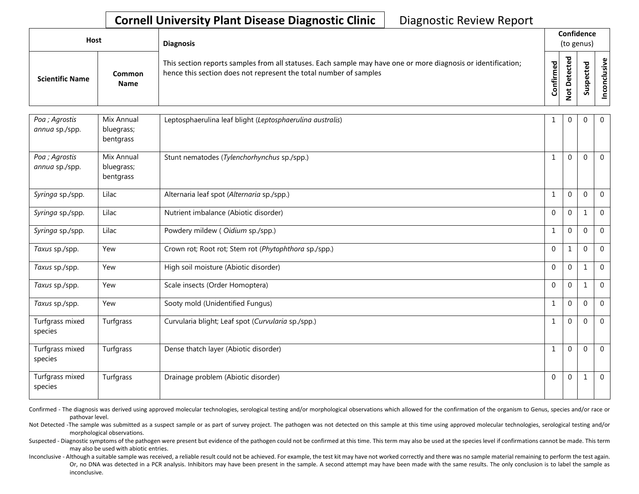## **Cornell University Plant Disease Diagnostic Clinic** | Diagnostic Review Report

| Host                   |                       | <b>Diagnosis</b>                                                                                                                                                                   |              | Confidence<br>(to genus)         |                   |               |  |  |
|------------------------|-----------------------|------------------------------------------------------------------------------------------------------------------------------------------------------------------------------------|--------------|----------------------------------|-------------------|---------------|--|--|
| <b>Scientific Name</b> | Common<br><b>Name</b> | This section reports samples from all statuses. Each sample may have one or more diagnosis or identification;<br>hence this section does not represent the total number of samples | ဥ<br>Confirm | ᠊ᠣ<br>ပ<br>Φ<br>ω<br>ى<br>۰<br>- | ᇃ<br>Ψ<br>S<br>ഄഁ | ω,<br>.≥<br>ē |  |  |

| Poa ; Agrostis<br>annua sp./spp. | Mix Annual<br>bluegrass;<br>bentgrass | Leptosphaerulina leaf blight (Leptosphaerulina australis) | 1            | $\Omega$     | $\Omega$     | $\mathbf 0$    |
|----------------------------------|---------------------------------------|-----------------------------------------------------------|--------------|--------------|--------------|----------------|
| Poa ; Agrostis<br>annua sp./spp. | Mix Annual<br>bluegrass;<br>bentgrass | Stunt nematodes (Tylenchorhynchus sp./spp.)               | $\mathbf{1}$ | $\Omega$     | $\Omega$     | $\overline{0}$ |
| Syringa sp./spp.                 | Lilac                                 | Alternaria leaf spot (Alternaria sp./spp.)                | $\mathbf{1}$ | $\mathbf{0}$ | $\Omega$     | $\mathbf 0$    |
| Syringa sp./spp.                 | Lilac                                 | Nutrient imbalance (Abiotic disorder)                     | $\Omega$     | $\mathbf 0$  | 1            | $\mathbf 0$    |
| Syringa sp./spp.                 | Lilac                                 | Powdery mildew (Oidium sp./spp.)                          | $\mathbf{1}$ | $\Omega$     | $\Omega$     | $\mathbf 0$    |
| Taxus sp./spp.                   | Yew                                   | Crown rot; Root rot; Stem rot (Phytophthora sp./spp.)     | $\Omega$     |              | $\Omega$     | $\mathbf 0$    |
| Taxus sp./spp.                   | Yew                                   | High soil moisture (Abiotic disorder)                     | $\mathbf 0$  | $\mathbf 0$  | $\mathbf{1}$ | $\mathbf 0$    |
| Taxus sp./spp.                   | Yew                                   | Scale insects (Order Homoptera)                           | $\Omega$     | $\Omega$     |              | $\mathbf 0$    |
| Taxus sp./spp.                   | Yew                                   | Sooty mold (Unidentified Fungus)                          | $\mathbf{1}$ | $\Omega$     | $\Omega$     | $\mathbf 0$    |
| Turfgrass mixed<br>species       | Turfgrass                             | Curvularia blight; Leaf spot (Curvularia sp./spp.)        | $\mathbf{1}$ | $\mathbf{0}$ | $\Omega$     | $\mathbf 0$    |
| Turfgrass mixed<br>species       | Turfgrass                             | Dense thatch layer (Abiotic disorder)                     | $\mathbf{1}$ | $\Omega$     | $\Omega$     | $\mathbf 0$    |
| Turfgrass mixed<br>species       | Turfgrass                             | Drainage problem (Abiotic disorder)                       | $\Omega$     | $\Omega$     |              | $\overline{0}$ |

Confirmed - The diagnosis was derived using approved molecular technologies, serological testing and/or morphological observations which allowed for the confirmation of the organism to Genus, species and/or race or pathovar level.

Not Detected -The sample was submitted as a suspect sample or as part of survey project. The pathogen was not detected on this sample at this time using approved molecular technologies, serological testing and/or morphological observations.

Suspected - Diagnostic symptoms of the pathogen were present but evidence of the pathogen could not be confirmed at this time. This term may also be used at the species level if confirmations cannot be made. This term may also be used with abiotic entries.

Inconclusive - Although a suitable sample was received, a reliable result could not be achieved. For example, the test kit may have not worked correctly and there was no sample material remaining to perform the test again. Or, no DNA was detected in a PCR analysis. Inhibitors may have been present in the sample. A second attempt may have been made with the same results. The only conclusion is to label the sample as inconclusive.